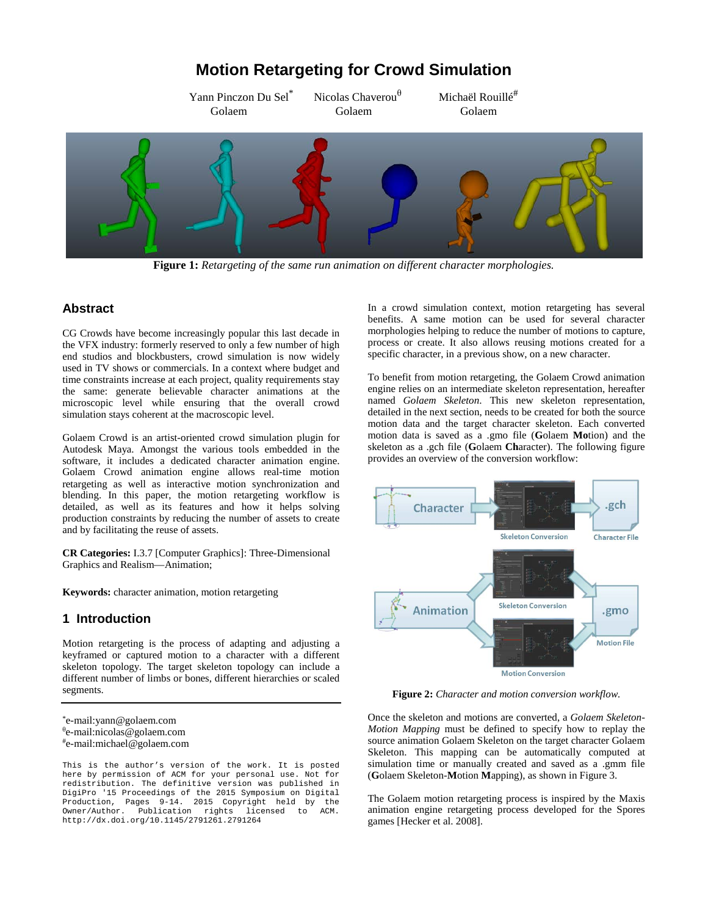# **Motion Retargeting for Crowd Simulation**

Yann Pinczon Du Sel<sup>\*</sup> Nicolas Chaverou<sup> $\theta$ </sup> Michaël Rouillé<sup>#</sup> Golaem Golaem Golaem



**Figure 1:** *Retargeting of the same run animation on different character morphologies.*

# **Abstract**

CG Crowds have become increasingly popular this last decade in the VFX industry: formerly reserved to only a few number of high end studios and blockbusters, crowd simulation is now widely used in TV shows or commercials. In a context where budget and time constraints increase at each project, quality requirements stay the same: generate believable character animations at the microscopic level while ensuring that the overall crowd simulation stays coherent at the macroscopic level.

Golaem Crowd is an artist-oriented crowd simulation plugin for Autodesk Maya. Amongst the various tools embedded in the software, it includes a dedicated character animation engine. Golaem Crowd animation engine allows real-time motion retargeting as well as interactive motion synchronization and blending. In this paper, the motion retargeting workflow is detailed, as well as its features and how it helps solving production constraints by reducing the number of assets to create and by facilitating the reuse of assets.

**CR Categories:** I.3.7 [Computer Graphics]: Three-Dimensional Graphics and Realism—Animation;

**Keywords:** character animation, motion retargeting

# **1 Introduction**

Motion retargeting is the process of adapting and adjusting a keyframed or captured motion to a character with a different skeleton topology. The target skeleton topology can include a different number of limbs or bones, different hierarchies or scaled segments.

This is the author's version of the work. It is posted here by permission of ACM for your personal use. Not for redistribution. The definitive version was published in DigiPro '15 Proceedings of the 2015 Symposium on Digital Production, Pages 9-14. 2015 Copyright held by the Owner/Author. Publication rights licensed to ACM. http://dx.doi.org/10.1145/2791261.2791264

In a crowd simulation context, motion retargeting has several benefits. A same motion can be used for several character morphologies helping to reduce the number of motions to capture, process or create. It also allows reusing motions created for a specific character, in a previous show, on a new character.

To benefit from motion retargeting, the Golaem Crowd animation engine relies on an intermediate skeleton representation, hereafter named *Golaem Skeleton*. This new skeleton representation, detailed in the next section, needs to be created for both the source motion data and the target character skeleton. Each converted motion data is saved as a .gmo file (**G**olaem **Mo**tion) and the skeleton as a .gch file (**G**olaem **Ch**aracter). The following figure provides an overview of the conversion workflow:



**Figure 2:** *Character and motion conversion workflow.*

Once the skeleton and motions are converted, a *Golaem Skeleton-Motion Mapping* must be defined to specify how to replay the source animation Golaem Skeleton on the target character Golaem Skeleton. This mapping can be automatically computed at simulation time or manually created and saved as a .gmm file (**G**olaem Skeleton-**M**otion **M**apping), as shown in Figure 3.

The Golaem motion retargeting process is inspired by the Maxis animation engine retargeting process developed for the Spores games [Hecker et al. 2008].

<sup>\*</sup>e-mail:yann@golaem.com θ e-mail:nicolas@golaem.com #e-mail:michael@golaem.com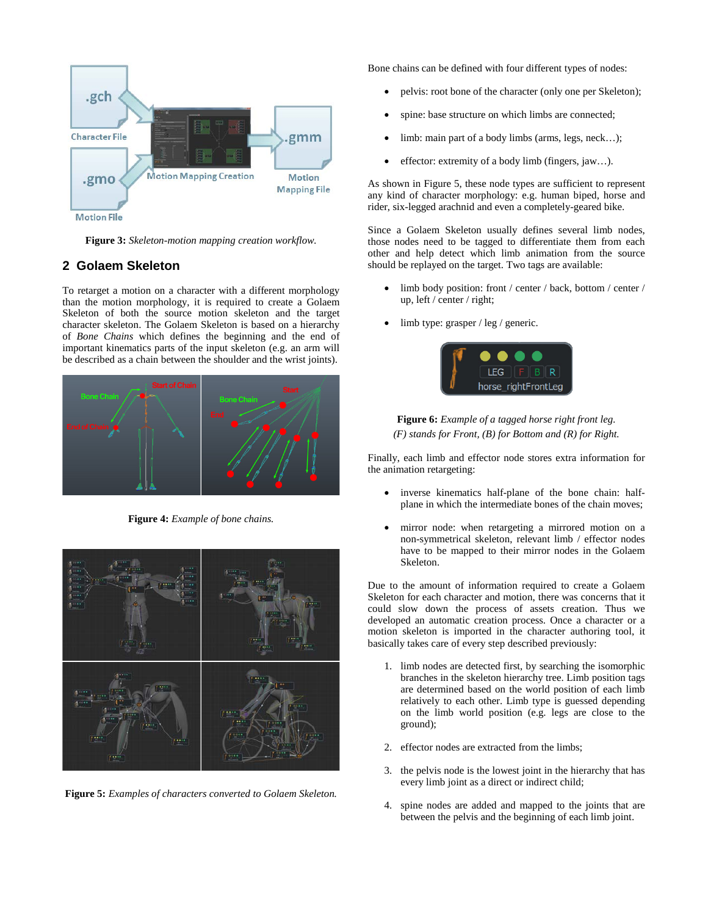

**Figure 3:** *Skeleton-motion mapping creation workflow.*

### **2 Golaem Skeleton**

To retarget a motion on a character with a different morphology than the motion morphology, it is required to create a Golaem Skeleton of both the source motion skeleton and the target character skeleton. The Golaem Skeleton is based on a hierarchy of *Bone Chains* which defines the beginning and the end of important kinematics parts of the input skeleton (e.g. an arm will be described as a chain between the shoulder and the wrist joints).



**Figure 4:** *Example of bone chains.*



**Figure 5:** *Examples of characters converted to Golaem Skeleton.*

Bone chains can be defined with four different types of nodes:

- pelvis: root bone of the character (only one per Skeleton);
- spine: base structure on which limbs are connected;
- limb: main part of a body limbs (arms, legs, neck...);
- effector: extremity of a body limb (fingers, jaw...).

As shown in Figure 5, these node types are sufficient to represent any kind of character morphology: e.g. human biped, horse and rider, six-legged arachnid and even a completely-geared bike.

Since a Golaem Skeleton usually defines several limb nodes, those nodes need to be tagged to differentiate them from each other and help detect which limb animation from the source should be replayed on the target. Two tags are available:

- limb body position: front / center / back, bottom / center / up, left / center / right;
- limb type: grasper / leg / generic.



### **Figure 6:** *Example of a tagged horse right front leg. (F) stands for Front, (B) for Bottom and (R) for Right.*

Finally, each limb and effector node stores extra information for the animation retargeting:

- inverse kinematics half-plane of the bone chain: halfplane in which the intermediate bones of the chain moves;
- mirror node: when retargeting a mirrored motion on a non-symmetrical skeleton, relevant limb / effector nodes have to be mapped to their mirror nodes in the Golaem Skeleton.

Due to the amount of information required to create a Golaem Skeleton for each character and motion, there was concerns that it could slow down the process of assets creation. Thus we developed an automatic creation process. Once a character or a motion skeleton is imported in the character authoring tool, it basically takes care of every step described previously:

- 1. limb nodes are detected first, by searching the isomorphic branches in the skeleton hierarchy tree. Limb position tags are determined based on the world position of each limb relatively to each other. Limb type is guessed depending on the limb world position (e.g. legs are close to the ground);
- 2. effector nodes are extracted from the limbs;
- 3. the pelvis node is the lowest joint in the hierarchy that has every limb joint as a direct or indirect child;
- 4. spine nodes are added and mapped to the joints that are between the pelvis and the beginning of each limb joint.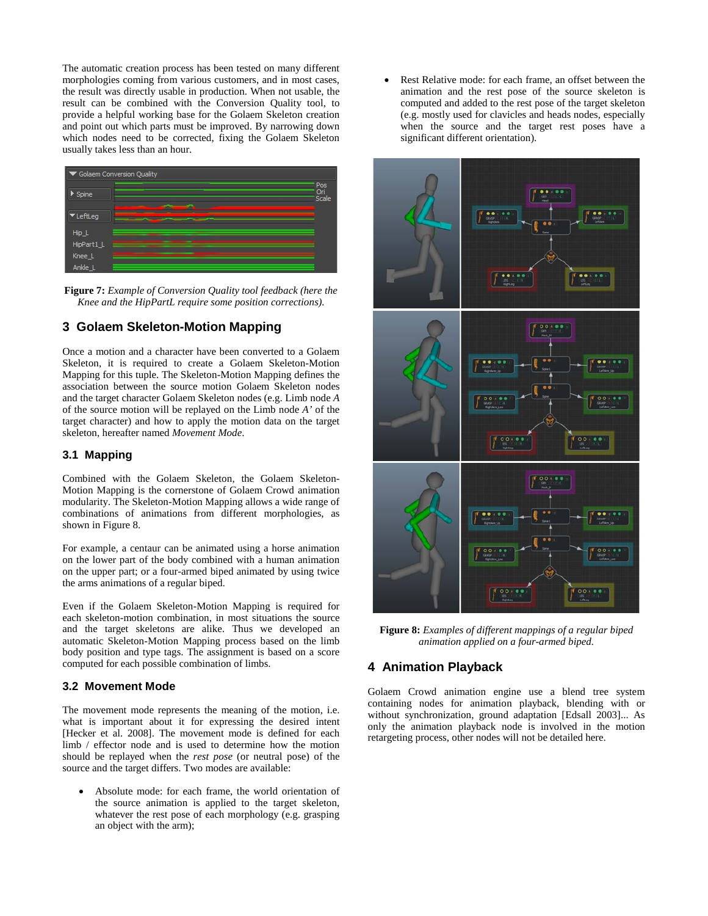The automatic creation process has been tested on many different morphologies coming from various customers, and in most cases, the result was directly usable in production. When not usable, the result can be combined with the Conversion Quality tool, to provide a helpful working base for the Golaem Skeleton creation and point out which parts must be improved. By narrowing down which nodes need to be corrected, fixing the Golaem Skeleton usually takes less than an hour.



**Figure 7:** *Example of Conversion Quality tool feedback (here the Knee and the HipPartL require some position corrections).*

# **3 Golaem Skeleton-Motion Mapping**

Once a motion and a character have been converted to a Golaem Skeleton, it is required to create a Golaem Skeleton-Motion Mapping for this tuple. The Skeleton-Motion Mapping defines the association between the source motion Golaem Skeleton nodes and the target character Golaem Skeleton nodes (e.g. Limb node *A* of the source motion will be replayed on the Limb node *A'* of the target character) and how to apply the motion data on the target skeleton, hereafter named *Movement Mode*.

#### **3.1 Mapping**

Combined with the Golaem Skeleton, the Golaem Skeleton-Motion Mapping is the cornerstone of Golaem Crowd animation modularity. The Skeleton-Motion Mapping allows a wide range of combinations of animations from different morphologies, as shown in Figure 8.

For example, a centaur can be animated using a horse animation on the lower part of the body combined with a human animation on the upper part; or a four-armed biped animated by using twice the arms animations of a regular biped.

Even if the Golaem Skeleton-Motion Mapping is required for each skeleton-motion combination, in most situations the source and the target skeletons are alike. Thus we developed an automatic Skeleton-Motion Mapping process based on the limb body position and type tags. The assignment is based on a score computed for each possible combination of limbs.

#### **3.2 Movement Mode**

The movement mode represents the meaning of the motion, i.e. what is important about it for expressing the desired intent [Hecker et al. 2008]. The movement mode is defined for each limb / effector node and is used to determine how the motion should be replayed when the *rest pose* (or neutral pose) of the source and the target differs. Two modes are available:

Absolute mode: for each frame, the world orientation of the source animation is applied to the target skeleton, whatever the rest pose of each morphology (e.g. grasping an object with the arm);

Rest Relative mode: for each frame, an offset between the animation and the rest pose of the source skeleton is computed and added to the rest pose of the target skeleton (e.g. mostly used for clavicles and heads nodes, especially when the source and the target rest poses have a significant different orientation).



**Figure 8:** *Examples of different mappings of a regular biped animation applied on a four-armed biped.*

# **4 Animation Playback**

Golaem Crowd animation engine use a blend tree system containing nodes for animation playback, blending with or without synchronization, ground adaptation [Edsall 2003]... As only the animation playback node is involved in the motion retargeting process, other nodes will not be detailed here.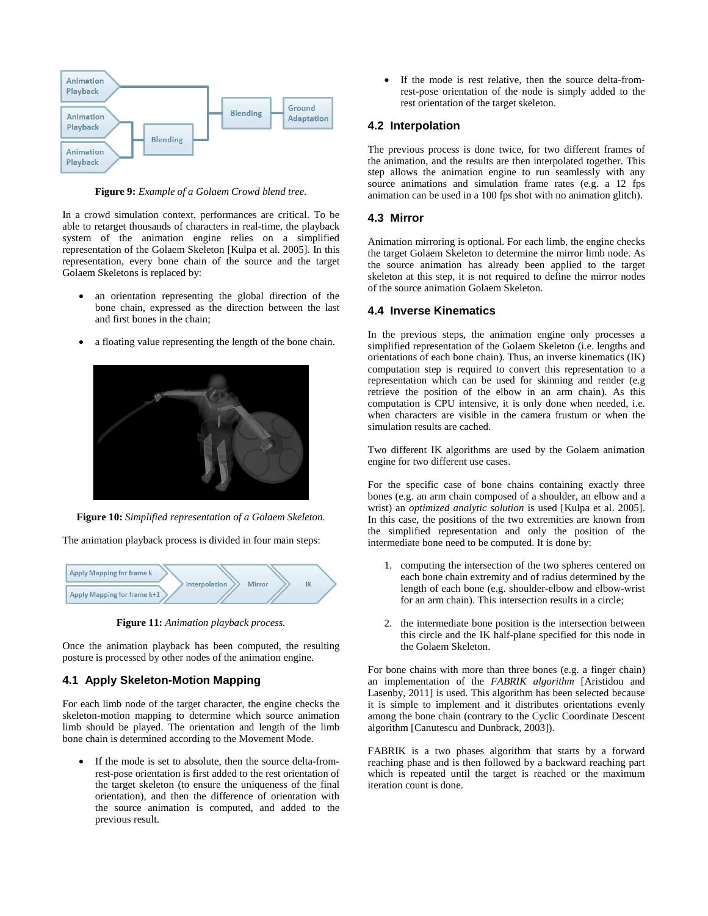

**Figure 9:** *Example of a Golaem Crowd blend tree.*

In a crowd simulation context, performances are critical. To be able to retarget thousands of characters in real-time, the playback system of the animation engine relies on a simplified representation of the Golaem Skeleton [Kulpa et al. 2005]. In this representation, every bone chain of the source and the target Golaem Skeletons is replaced by:

- an orientation representing the global direction of the bone chain, expressed as the direction between the last and first bones in the chain;
- a floating value representing the length of the bone chain.



**Figure 10:** *Simplified representation of a Golaem Skeleton.*

The animation playback process is divided in four main steps:



**Figure 11:** *Animation playback process.*

Once the animation playback has been computed, the resulting posture is processed by other nodes of the animation engine.

#### **4.1 Apply Skeleton-Motion Mapping**

For each limb node of the target character, the engine checks the skeleton-motion mapping to determine which source animation limb should be played. The orientation and length of the limb bone chain is determined according to the Movement Mode.

• If the mode is set to absolute, then the source delta-fromrest-pose orientation is first added to the rest orientation of the target skeleton (to ensure the uniqueness of the final orientation), and then the difference of orientation with the source animation is computed, and added to the previous result.

If the mode is rest relative, then the source delta-fromrest-pose orientation of the node is simply added to the rest orientation of the target skeleton.

#### **4.2 Interpolation**

The previous process is done twice, for two different frames of the animation, and the results are then interpolated together. This step allows the animation engine to run seamlessly with any source animations and simulation frame rates (e.g. a 12 fps animation can be used in a 100 fps shot with no animation glitch).

#### **4.3 Mirror**

Animation mirroring is optional. For each limb, the engine checks the target Golaem Skeleton to determine the mirror limb node. As the source animation has already been applied to the target skeleton at this step, it is not required to define the mirror nodes of the source animation Golaem Skeleton.

#### **4.4 Inverse Kinematics**

In the previous steps, the animation engine only processes a simplified representation of the Golaem Skeleton (i.e. lengths and orientations of each bone chain). Thus, an inverse kinematics (IK) computation step is required to convert this representation to a representation which can be used for skinning and render (e.g retrieve the position of the elbow in an arm chain). As this computation is CPU intensive, it is only done when needed, i.e. when characters are visible in the camera frustum or when the simulation results are cached.

Two different IK algorithms are used by the Golaem animation engine for two different use cases.

For the specific case of bone chains containing exactly three bones (e.g. an arm chain composed of a shoulder, an elbow and a wrist) an *optimized analytic solution* is used [Kulpa et al. 2005]. In this case, the positions of the two extremities are known from the simplified representation and only the position of the intermediate bone need to be computed. It is done by:

- 1. computing the intersection of the two spheres centered on each bone chain extremity and of radius determined by the length of each bone (e.g. shoulder-elbow and elbow-wrist for an arm chain). This intersection results in a circle;
- 2. the intermediate bone position is the intersection between this circle and the IK half-plane specified for this node in the Golaem Skeleton.

For bone chains with more than three bones (e.g. a finger chain) an implementation of the *FABRIK algorithm* [Aristidou and Lasenby, 2011] is used. This algorithm has been selected because it is simple to implement and it distributes orientations evenly among the bone chain (contrary to the Cyclic Coordinate Descent algorithm [Canutescu and Dunbrack, 2003]).

FABRIK is a two phases algorithm that starts by a forward reaching phase and is then followed by a backward reaching part which is repeated until the target is reached or the maximum iteration count is done.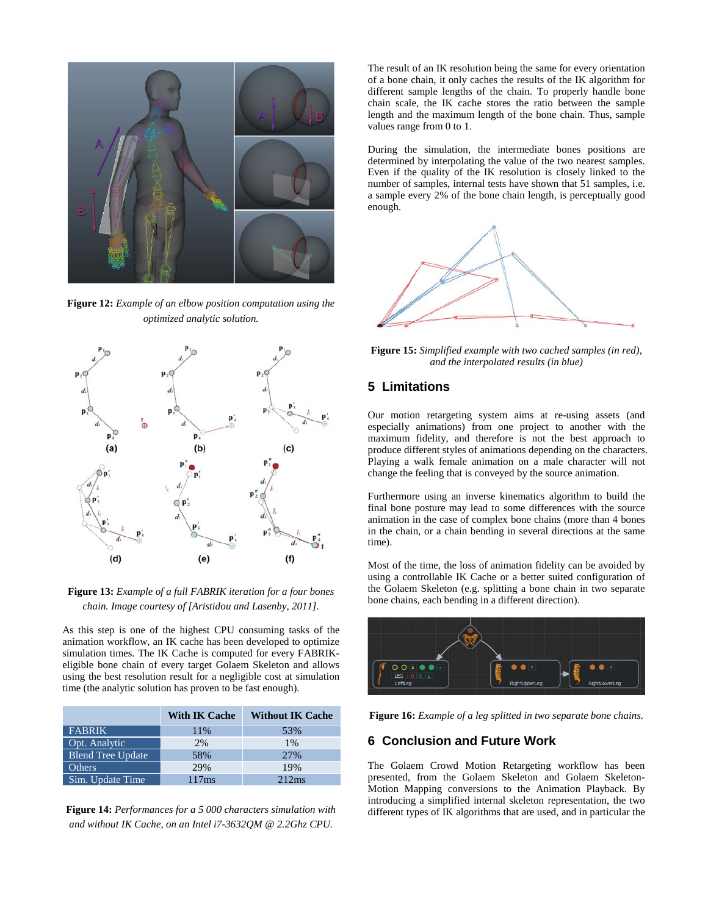

**Figure 12:** *Example of an elbow position computation using the optimized analytic solution.*



**Figure 13:** *Example of a full FABRIK iteration for a four bones chain. Image courtesy of [Aristidou and Lasenby, 2011].* 

As this step is one of the highest CPU consuming tasks of the animation workflow, an IK cache has been developed to optimize simulation times. The IK Cache is computed for every FABRIKeligible bone chain of every target Golaem Skeleton and allows using the best resolution result for a negligible cost at simulation time (the analytic solution has proven to be fast enough).

|                          | <b>With IK Cache</b> | <b>Without IK Cache</b> |
|--------------------------|----------------------|-------------------------|
| <b>FABRIK</b>            | 11%                  | 53%                     |
| Opt. Analytic            | 2%                   | 1%                      |
| <b>Blend Tree Update</b> | 58%                  | 27%                     |
| <b>Others</b>            | 29%                  | 19%                     |
| Sim. Update Time         | 117ms                | 212ms                   |

**Figure 14:** *Performances for a 5 000 characters simulation with and without IK Cache, on an Intel i7-3632QM @ 2.2Ghz CPU.*

The result of an IK resolution being the same for every orientation of a bone chain, it only caches the results of the IK algorithm for different sample lengths of the chain. To properly handle bone chain scale, the IK cache stores the ratio between the sample length and the maximum length of the bone chain. Thus, sample values range from 0 to 1.

During the simulation, the intermediate bones positions are determined by interpolating the value of the two nearest samples. Even if the quality of the IK resolution is closely linked to the number of samples, internal tests have shown that 51 samples, i.e. a sample every 2% of the bone chain length, is perceptually good enough.



**Figure 15:** *Simplified example with two cached samples (in red), and the interpolated results (in blue)*

### **5 Limitations**

Our motion retargeting system aims at re-using assets (and especially animations) from one project to another with the maximum fidelity, and therefore is not the best approach to produce different styles of animations depending on the characters. Playing a walk female animation on a male character will not change the feeling that is conveyed by the source animation.

Furthermore using an inverse kinematics algorithm to build the final bone posture may lead to some differences with the source animation in the case of complex bone chains (more than 4 bones in the chain, or a chain bending in several directions at the same time).

Most of the time, the loss of animation fidelity can be avoided by using a controllable IK Cache or a better suited configuration of the Golaem Skeleton (e.g. splitting a bone chain in two separate bone chains, each bending in a different direction).



**Figure 16:** *Example of a leg splitted in two separate bone chains.*

# **6 Conclusion and Future Work**

The Golaem Crowd Motion Retargeting workflow has been presented, from the Golaem Skeleton and Golaem Skeleton-Motion Mapping conversions to the Animation Playback. By introducing a simplified internal skeleton representation, the two different types of IK algorithms that are used, and in particular the